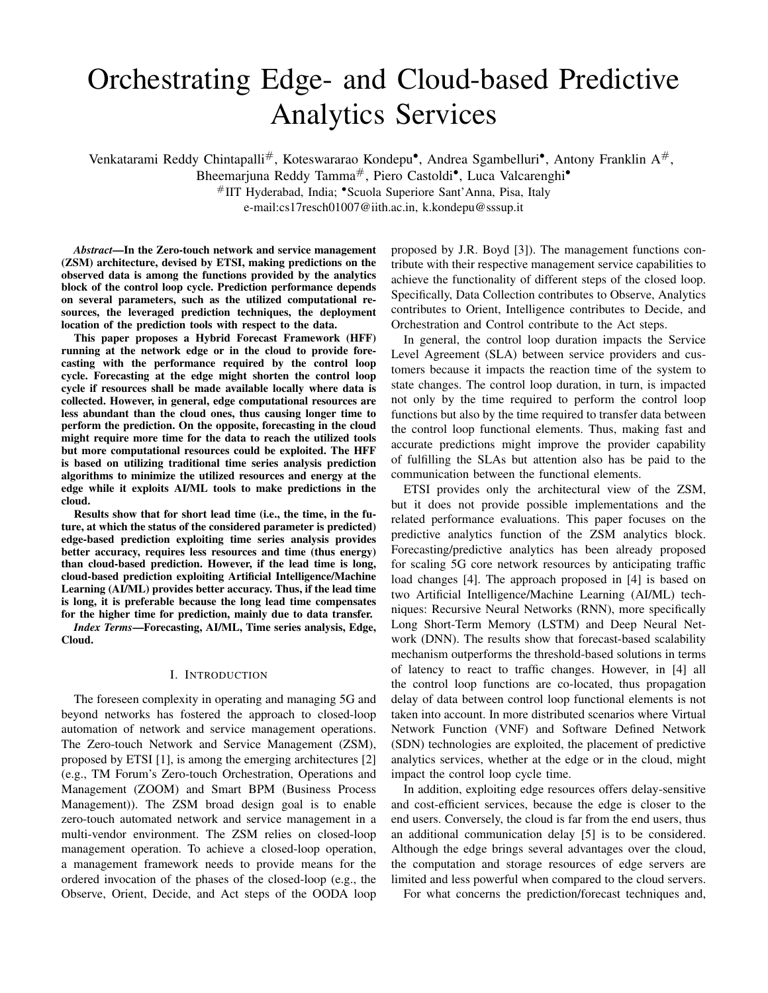# Orchestrating Edge- and Cloud-based Predictive Analytics Services

Venkatarami Reddy Chintapalli#, Koteswararao Kondepu•, Andrea Sgambelluri•, Antony Franklin A#,

Bheemarjuna Reddy Tamma#, Piero Castoldi•, Luca Valcarenghi•

#IIT Hyderabad, India; •Scuola Superiore Sant'Anna, Pisa, Italy

e-mail:cs17resch01007@iith.ac.in, k.kondepu@sssup.it

*Abstract*—In the Zero-touch network and service management (ZSM) architecture, devised by ETSI, making predictions on the observed data is among the functions provided by the analytics block of the control loop cycle. Prediction performance depends on several parameters, such as the utilized computational resources, the leveraged prediction techniques, the deployment location of the prediction tools with respect to the data.

This paper proposes a Hybrid Forecast Framework (HFF) running at the network edge or in the cloud to provide forecasting with the performance required by the control loop cycle. Forecasting at the edge might shorten the control loop cycle if resources shall be made available locally where data is collected. However, in general, edge computational resources are less abundant than the cloud ones, thus causing longer time to perform the prediction. On the opposite, forecasting in the cloud might require more time for the data to reach the utilized tools but more computational resources could be exploited. The HFF is based on utilizing traditional time series analysis prediction algorithms to minimize the utilized resources and energy at the edge while it exploits AI/ML tools to make predictions in the cloud.

Results show that for short lead time (i.e., the time, in the future, at which the status of the considered parameter is predicted) edge-based prediction exploiting time series analysis provides better accuracy, requires less resources and time (thus energy) than cloud-based prediction. However, if the lead time is long, cloud-based prediction exploiting Artificial Intelligence/Machine Learning (AI/ML) provides better accuracy. Thus, if the lead time is long, it is preferable because the long lead time compensates for the higher time for prediction, mainly due to data transfer.

*Index Terms*—Forecasting, AI/ML, Time series analysis, Edge, Cloud.

## I. INTRODUCTION

The foreseen complexity in operating and managing 5G and beyond networks has fostered the approach to closed-loop automation of network and service management operations. The Zero-touch Network and Service Management (ZSM), proposed by ETSI [1], is among the emerging architectures [2] (e.g., TM Forum's Zero-touch Orchestration, Operations and Management (ZOOM) and Smart BPM (Business Process Management)). The ZSM broad design goal is to enable zero-touch automated network and service management in a multi-vendor environment. The ZSM relies on closed-loop management operation. To achieve a closed-loop operation, a management framework needs to provide means for the ordered invocation of the phases of the closed-loop (e.g., the Observe, Orient, Decide, and Act steps of the OODA loop

proposed by J.R. Boyd [3]). The management functions contribute with their respective management service capabilities to achieve the functionality of different steps of the closed loop. Specifically, Data Collection contributes to Observe, Analytics contributes to Orient, Intelligence contributes to Decide, and Orchestration and Control contribute to the Act steps.

In general, the control loop duration impacts the Service Level Agreement (SLA) between service providers and customers because it impacts the reaction time of the system to state changes. The control loop duration, in turn, is impacted not only by the time required to perform the control loop functions but also by the time required to transfer data between the control loop functional elements. Thus, making fast and accurate predictions might improve the provider capability of fulfilling the SLAs but attention also has be paid to the communication between the functional elements.

ETSI provides only the architectural view of the ZSM, but it does not provide possible implementations and the related performance evaluations. This paper focuses on the predictive analytics function of the ZSM analytics block. Forecasting/predictive analytics has been already proposed for scaling 5G core network resources by anticipating traffic load changes [4]. The approach proposed in [4] is based on two Artificial Intelligence/Machine Learning (AI/ML) techniques: Recursive Neural Networks (RNN), more specifically Long Short-Term Memory (LSTM) and Deep Neural Network (DNN). The results show that forecast-based scalability mechanism outperforms the threshold-based solutions in terms of latency to react to traffic changes. However, in [4] all the control loop functions are co-located, thus propagation delay of data between control loop functional elements is not taken into account. In more distributed scenarios where Virtual Network Function (VNF) and Software Defined Network (SDN) technologies are exploited, the placement of predictive analytics services, whether at the edge or in the cloud, might impact the control loop cycle time.

In addition, exploiting edge resources offers delay-sensitive and cost-efficient services, because the edge is closer to the end users. Conversely, the cloud is far from the end users, thus an additional communication delay [5] is to be considered. Although the edge brings several advantages over the cloud, the computation and storage resources of edge servers are limited and less powerful when compared to the cloud servers.

For what concerns the prediction/forecast techniques and,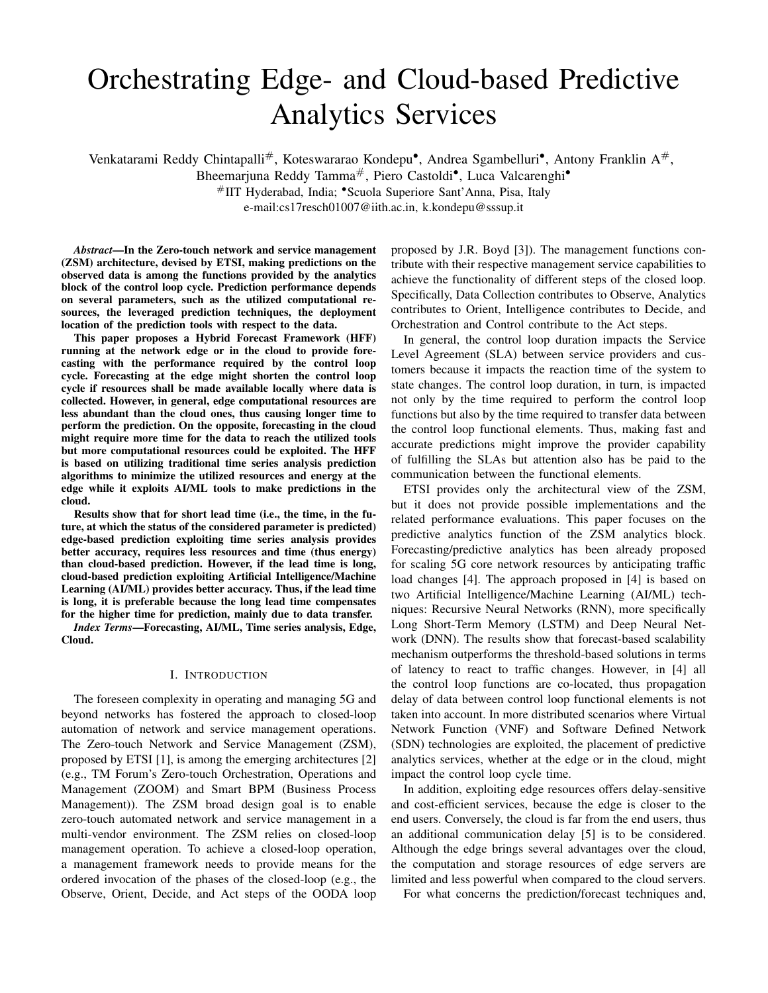more specifically, for time series data, either traditional time series analysis or ML-based methods can be exploited. Traditional time series analysis methods such as Error, Trend, Seasonality forecast (ETS), Auto Regressive Integrated Moving Average (ARIMA), and Exponential Smoothing are the most popular and effective time series predictors [6]. Traditional methods might also outperform several other ML-based methods, including LSTM and RNNs, depending on the considered dataset and the forecast lead time (i.e., the time, in the future, at which the status of the considered quantity is predicted) [7]. Traditional prediction techniques are fast to train and forecast (i.e., testing), but are neither very accurate nor flexible to adapt to complex data.

On the other end, ML-based methods, such as LSTM, can forecast accurately but they require long training. In addition, ML-based methods require a large amount of data, which is a computationally expensive. Thus, it is not always feasible to use such powerful computing tools.

To reduce such complexity and also concerns related to data privacy while transmitting over the network, edge analytics can be exploited depending on the prediction accuracy and the availability of the data. Note that, severe resource scarcity issues may exist if ML-based methods are supported at the edge, especially when a large amount of data has to be processed. Thus, applying traditional prediction methods at the edge, while applying ML-based methods in the cloud, can provide a trade off between the achievable performance and the available resources.

This paper proposes a Hybrid Forecasting Framework (HFF) running at the network edge and in the cloud. HFF considers two different traditional time series analysis prediction approaches such as Double Exponential Smoothing (DES) and Triple Exponential Smoothing (TES) running at the edge and one ML-based approach such as Long Short-Term Memory (LSTM) running in the cloud. These methods are utilized to forecast the number of VNFs/Virtual Machines (VMs) necessary to support an automotive application as a function of the road traffic while maintaining an agreed SLA, such as the elaboration time in Advanced Driving Assistance (ADA) services. Although the considered time series is the number of cars passing through a specific road, the considered framework is general and can be applied to any time-varying request (e.g., VNFs for packet inspection, lightpath dynamic demands).

Results show that traditional time series analysis methods based on exponential smoothing outperform ML methods, such as LSTM, in terms of accuracy (measured as root mean square error) for short lead time forecasts (i.e., the time, in the future, at which the status of the considered quantity is predicted).

Moreover they require less resources and time, and thus energy. However, if the lead time is long, cloud-based prediction exploiting AI/ML provides better accuracy. Thus, if the lead time is long, cloud-based prediction is preferable because the long lead time compensates for the longer time for prediction, mainly due to data transfer. In the considered scenario, as the time for activating/scaling Virtual Machines (VMs) is long (usually minutes), thus requiring a long lead time, cloud analytics is preferable.

# II. HYBRID FORECAST FRAMEWORK ARCHITECTURE AND IMPLEMENTATION

Figure 1 reports the control loop described in [1]. The overall control loop time, depends not only on the time taken to perform the control loop functions (i.e., observe, orient, decide, and act) by the respective management functions (i.e., data collection, analytics, intelligence, orchestration and control), but also on the time taken by the communication among the functional elements.



Figure 1. Mapping between ZSM architecture building blocks and closed loop functions as in [1]

This paper focuses only on the part of the control loop between the data collection, from the managed resources, and the analytics block, as depicted in Figure 2, even though a comparable contribution to the overall control cycle time can be expected to be provided by the remaining part of the control loop.

Figure 2 shows the functions of the control loop applied to the considered scenario. Data is collected at the edge. With respect to traditional application, the proposed Hybrid Forecast Framework (HFF) features the deployment of the data analytics function both at the edge and in the core. Edge data analytics is based on traditional time series analysis prediction approaches such as DES and TES. Core data analytics is based on ML-based approach such as LSTM. The selection among the two possible analytics functions depends on the required control cycle time, the available resources and the lead time, defined as period for which forecasts are needed (i.e., the future time for which the data need to be predicted).

### III. CONSIDERED FORECASTING METHODS

Exponential smoothing and ML-based methods are considered for implementing edge analytics and cloud analytics, respectively. Exponential smoothing is a time series forecasting method for uni-variate data where the prediction is a weighted linear sum of recent past observations or lags [8]. In this paper, two exponential smoothing techniques are considered: Double Exponential Smoothing (DES) and Triple Exponential Smoothing (TES).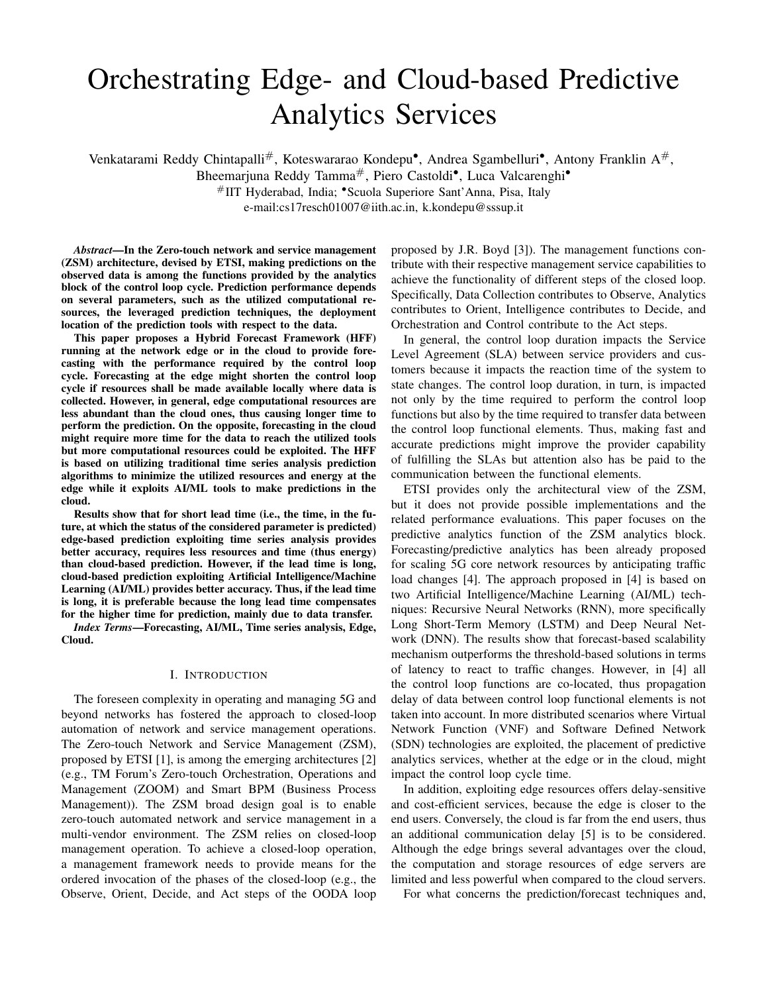

Figure 2. Scope of the paper within the ZSM and edge and core analytics

#### *A. Double Exponential Smoothing (DES)*

DES uses a level smoothing  $L_t$  with a level factor  $\alpha \in [0, 1]$ and trend smoothing  $T_t$  with a trend factor  $\beta \in [0,1]$ , as described in Eqs. (2) and (3), to compute the k-step ahead (namely *lead time*) forecast  $y_{t+k}$  through Eq. (1).

$$
\widehat{y}_{t+k} = L_t + k \cdot T_t \tag{1}
$$

$$
L_t = \alpha \cdot y_t + (1 - \alpha) \cdot (L_{t-1} + T_{t-1}) \tag{2}
$$

$$
T_t = \beta \cdot (L_t - L_{t-1}) + (1 - \beta) \cdot T_{t-1}
$$
 (3)

The level smoothing  $L_t$  is obtained based on the previous experienced time interval value of level smoothing  $L_{t-1}$  and trend smoothing  $T_{t-1}$ . Note that, in Eq. (2), the current value of time series (i.e.,  $y_t$ ) is used to estimate  $L_t$ . Similarly, the trend smoothing  $T_t$  is obtained from previous values of the level smoothing  $L_{t-1}$  and trend smoothing  $T_{t-1}$ . However, instead of the current value of the time series the current values of the level smoothing  $L_t$  is utilized. The main drawback of DES is the inability to account for seasonality of demands when the data show both trend and seasonality.

#### *B. Triple Exponential Smoothing (TES)*

As shown in Eqs. (5)-(7), TES exploits three different forecasting factors such as *level*  $L_t$ , *trend*  $T_t$ , and *seasonality*  $S_t$ . Eq. (4) forecasts the value of the observed quantity  $\hat{y}_{t+k}$ at time  $t + k$ , given all the data points up to time t and the seasonality constant s (i.e., the number of observations per season). TES can be performed in two ways, namely *additive* and *multiplicative* methods, depending on the seasonality effect. The *additive* method is considered when the seasonality effect is constant, whereas, the *multiplicative* method is used when the size of seasonality effect is proportional to the mean [9]. Note that, the following equations are defined based on the *additive* method.

$$
\widehat{y}_{t+k} = L_t + k \cdot T_t + S_{t+k-s} \tag{4}
$$

$$
L_t = \alpha \cdot (y_t - S_{t-s}) + (1 - \alpha) \cdot (L_{t-1} + T_{t-1}) \quad (5)
$$

$$
T_t = \beta \cdot (L_t - L_{t-1}) + (1 - \beta) \cdot T_{t-1} \tag{6}
$$

$$
S_t = \gamma \cdot (y_t - L_t) + (1 - \gamma) \cdot S_{t-s},\tag{7}
$$

where s is the length of the seasonal cycle,  $\alpha \in [0,1]$ ,  $\beta \in$ [0, 1], and  $\gamma \in [0, 1]$ .

# *C. Long Short-Term Memory (LSTM)*

LSTM is a special form of Recurrent Neural Network (RNN) that can learn long-term dependencies based on the information remembered in previous steps of the learning process. LSTM consists of a set of recurrent blocks (i.e., memory blocks) where each block contains one or more memory cells and multiplicative units such as *input*, *output* and *forget gate*.

LSTM is one of the most successful model for forecasting long-term time series. The LSTM can be characterized by different hyper-parameters, specifically the number of hidden layers, the number of neurons, and the batch size. Details of LSTM parameters and their impact on prediction accuracy can be found in [10]. However, the process of finding optimal hyper-parameters which minimize the forecasting error could be time and resource consuming.

In the proposed approach, the LSTM input vector corresponds to the  $n$  previous data points and the output vector corresponds to  $k$ -steps ahead with respect to the current time t of the considered time series. In this work, a *stacked LSTM model* is exploited with a single-step (i.e.,  $k = 1$ ) and a multistep (i.e.,  $k > 1$ ) forecasting.

In *LSTM single-step forecasting (LSTM-SSF)*, a single data point is predicted based on  $n$  previous data points considered for forecasting (i.e., the size of the monitoring window):

$$
P(t) = model(O(t-1), O(t-2), ..., O(t-n)),
$$
 (8)

where  $P$  is the prediction of the single data point at time  $t$ and  $O$  is the observed value in the  $n$  previous data points.

In *LSTM multi-step forecasting (LSTM-MSF)*, LSTM predicts  $k$  number of data points by considering  $n$  previous observed data points.

$$
P(t+k-1, t+k-2, ..., t) = model(O(t-1), O(t-2),
$$
  
...,  $O(t-n)$ ), (9)

where  $k > 1$ .

The LSTM-MSF is exploited in two ways: one approach is forecasting  $k$  data points at a time from  $n$  data points as described in Eq. (9); the second approach is realizing a multistep forecast by using a recursive single-step forecast, where the forecast data value is used as an input to the model by replacing  $t - n$  data point as defined in Eq. (10). The latter case is referred to as *LSTM-MSF-recursive*.

$$
P(t) = model(O(t-1), O(t-2), ..., O(t-n))
$$
  
\n
$$
P(t+1) = model(P(t), O(t-1), ..., O(t-n+1))
$$
  
\n...  
\n
$$
P(t+k-1) = model(P(t+k-2), P(t+k-3),
$$
  
\n..., O(t-n+k-1)) (10)

Note that, *DES-recursive* and *TES-recursive* are also considered in this paper and implemented in the same way, by updating the level smoothing  $L_t$  and the trend smoothing  $T_t$  with the predicted data points while calculating  $\hat{y}_{t+k}$  in Eqs. (1) and (4).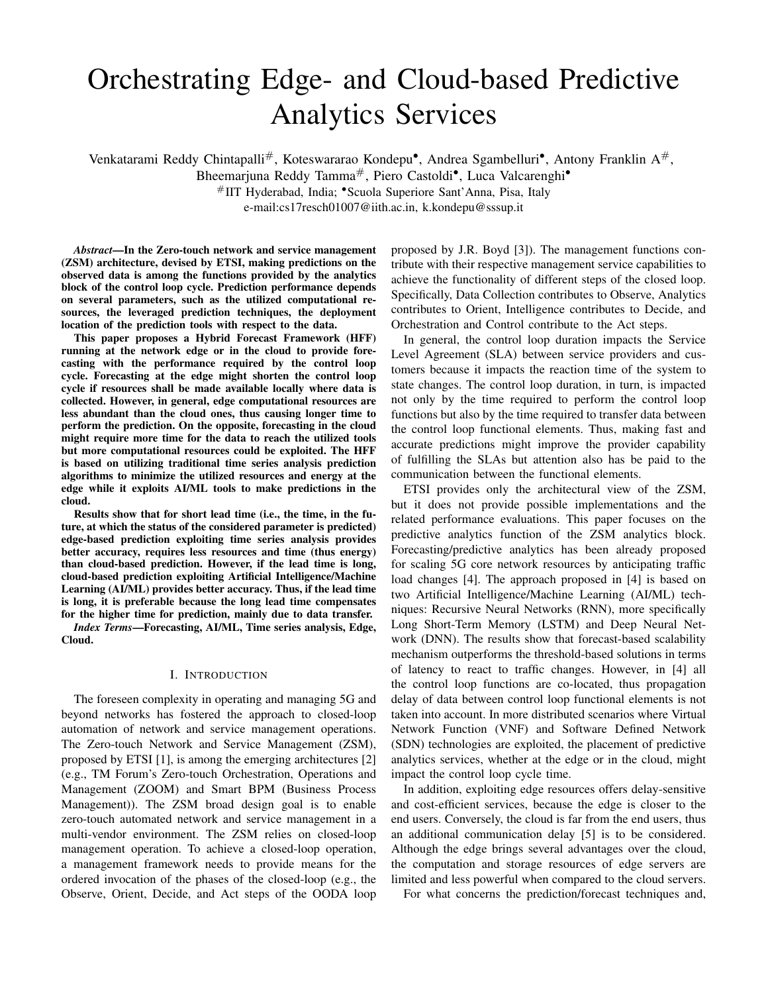# IV. PERFORMANCE EVALUATION

The considered forecasting techniques are applied to predict the number of VMs needed by an automotive application (e.g., Advanced Driving Assistance (ADA)) without impacting its performance (e.g., response time) as function of the variable number of cars that are passing through a street. Despite the specificity of the considered application the considered framework is general and can be applied to any time-varying request (e.g., VNFs for packet inspection, lightpath dynamic demands). Each VNF/VM is assumed to support the service required by a fixed number of cars.

The considered dataset is obtained from [11], where the number of vehicles of a specific street (Corso Belgio) in the city of Torino (in Italy) is reported every sixty seconds. In the paper, a dataset of forty-eight hours (two days) is considered.

The considered performance parameter is the prediction accuracy, represented by the Root Mean Square Error (RMSE) of the predicted values versus the time series real values. The performance is measured as function of the *lead time* (i.e., the future time for which the data need to be predicted). The *lead time* can be a function of the time required to (de)allocate the necessary resources and it depends upon a number of factors, such as type of service and utilised virtualization mechanism. The *window size*  $(n)$  is defined as the length of  $n$  previous observed data points considered to predict  $k$  number of data points (i.e.,  $k \ge 1$ ).

In DES and TES, the hyper-parameter values such as  $\alpha$ ,  $β$  and  $γ$  are selected to minimize RMSE, as summarized in Table I. The seasonality of the TES method is set to twenty-four hours. LSTM is implemented by using Google's TensorFlow library, accessed through the Keras high-level front-end. Table I reports the set of parameters that are used to evaluate the considered forecasting methods. The experiments are carried out on a workstation equipped with 8 cores Intel(R) i7-6820HQ 2.70GHz CPU with 16GB RAM, and running on Ubuntu 16.04 LTS 64-bit operating system.

Table I EVALUATION PARAMETERS

| <b>Parameter</b>              | <b>Forecasting Method</b> | Value                       |
|-------------------------------|---------------------------|-----------------------------|
| Level factor $(\alpha)$       | DES, TES                  | 0.9, 0.9                    |
| Trend factor $(\beta)$        | DES, TES                  | 0, 0.01                     |
| Seasonality factor $(\gamma)$ | <b>TES</b>                | 0.9                         |
| Number of hidden layers       | <b>LSTM</b>               | $\mathcal{D}_{\mathcal{L}}$ |
| Neurons in hidden layer       | <b>LSTM</b>               | 100                         |
| Epochs                        | <b>LSTM</b>               | 100                         |
| Window size $(n)$             | <b>LSTM</b>               | 10, 15, 20, 25              |
| Batch size                    | <b>LSTM</b>               |                             |
| Dataset split (Train:Test)    | <b>LSTM</b>               | (70:30)                     |

#### *A. Impact of the dataset split ratio*

Figure 3 shows the RMSE as function of LSTM-MSF and LSTM-MSF-recursive forecast methods with different dataset split ratios. The *window size* is set to 10 samples and the *lead time* is set to 5 minutes. For example, if the training versus testing (i.e., forecasting) proportion is set to  $x : y$ , it means that  $x\%$  of the collected data are used for training while  $y\%$  of the





Figure 4. Impact of lead time on the RMSE with 70:30 split ratio

1 5 10 15

Lead time (minutes)

collected data are used for forecasting performance evaluation. Here, different training:testing ratios are considered to observe how accurate, in terms of RMSE, is the prediction. As shown in Figure 3, the prediction accuracy increases with an increase in training data size, however, at 70 : 30 split ratio, the considered dataset provides minimum RMSE values. Hence, 70 : 30 split ratio is an inflection point for the considered dataset. The best split ratio mainly depends on the total number of samples in the considered dataset and the model used for training.

## *B. Impact of the lead time*

Figure 4 shows the RMSE as a function of the *lead time* k with the six considered forecasting methods. The *window size* is set to 10 samples and the split ratio is set to 70 : 30. For the considered dataset, when the lead time is set to one minute, the DES and TES methods outperform LSTM-MSF. However, when the lead time is long (i.e., 15 minutes), LSTM-MSF performs well compared to time series methods. In addition, LSTM-MSF-recursive method achieves the minimum RMSE value compared to LSTM-MSF method. Moreover, no significant changes are observed in case of *DES-recursive* and *TES-recursive* with DES and TES, due to the optimal selection of the  $\alpha$ ,  $\beta$ , and  $\gamma$  parameter values. Thus, for the considered